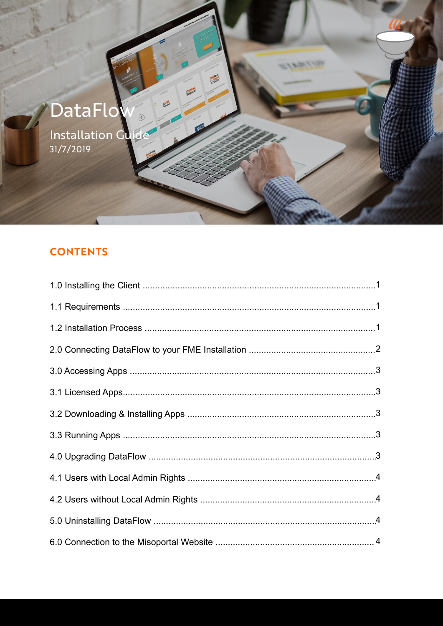

Installation Guide

# **CONTENTS**

CodePoint

**Preparer** 

**AVML** 

=1681199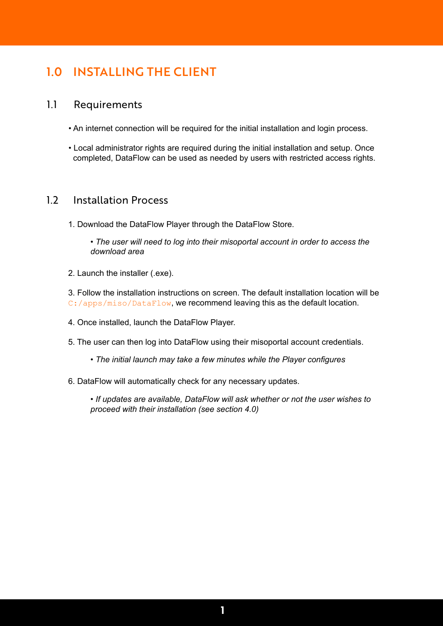# 1.0 INSTALLING THE CLIENT

### 1.1 Requirements

- An internet connection will be required for the initial installation and login process.
- Local administrator rights are required during the initial installation and setup. Once completed, DataFlow can be used as needed by users with restricted access rights.

## 1.2 Installation Process

1. Download the DataFlow Player through the DataFlow Store.

*• The user will need to log into their misoportal account in order to access the download area*

2. Launch the installer (.exe).

3. Follow the installation instructions on screen. The default installation location will be C:/apps/miso/DataFlow, we recommend leaving this as the default location.

- 4. Once installed, launch the DataFlow Player.
- 5. The user can then log into DataFlow using their misoportal account credentials.
	- *The initial launch may take a few minutes while the Player configures*
- 6. DataFlow will automatically check for any necessary updates.

*• If updates are available, DataFlow will ask whether or not the user wishes to proceed with their installation (see section 4.0)*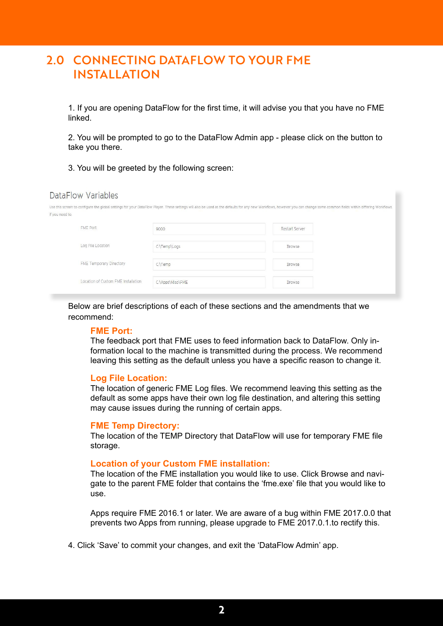# 2.0 CONNECTING DATAFLOW TO YOUR FME INSTALLATION

1. If you are opening DataFlow for the first time, it will advise you that you have no FME linked.

2. You will be prompted to go to the DataFlow Admin app - please click on the button to take you there.

3. You will be greeted by the following screen:

#### DataFlow Variables

| if you need to.                     |                  | Use this screen to configure the global settings for your DataFlow Player. These settings will also be used as the defaults for any new Workflows, however you can change some common fields within differing Workflows |  |
|-------------------------------------|------------------|-------------------------------------------------------------------------------------------------------------------------------------------------------------------------------------------------------------------------|--|
| FME Port                            | 9000             | Restart Server                                                                                                                                                                                                          |  |
| Log File Location                   | C:\Temp\Logs     | <b>Browse</b>                                                                                                                                                                                                           |  |
| FME Temporary Directory             | C:\Temp          | Browse                                                                                                                                                                                                                  |  |
| Location of Custom FME Installation | C:\Apps\Miso\FME | Browse                                                                                                                                                                                                                  |  |

Below are brief descriptions of each of these sections and the amendments that we recommend:

#### **FME Port:**

The feedback port that FME uses to feed information back to DataFlow. Only information local to the machine is transmitted during the process. We recommend leaving this setting as the default unless you have a specific reason to change it.

#### **Log File Location:**

The location of generic FME Log files. We recommend leaving this setting as the default as some apps have their own log file destination, and altering this setting may cause issues during the running of certain apps.

#### **FME Temp Directory:**

The location of the TEMP Directory that DataFlow will use for temporary FME file storage.

#### **Location of your Custom FME installation:**

The location of the FME installation you would like to use. Click Browse and navigate to the parent FME folder that contains the 'fme.exe' file that you would like to use.

Apps require FME 2016.1 or later. We are aware of a bug within FME 2017.0.0 that prevents two Apps from running, please upgrade to FME 2017.0.1.to rectify this.

4. Click 'Save' to commit your changes, and exit the 'DataFlow Admin' app.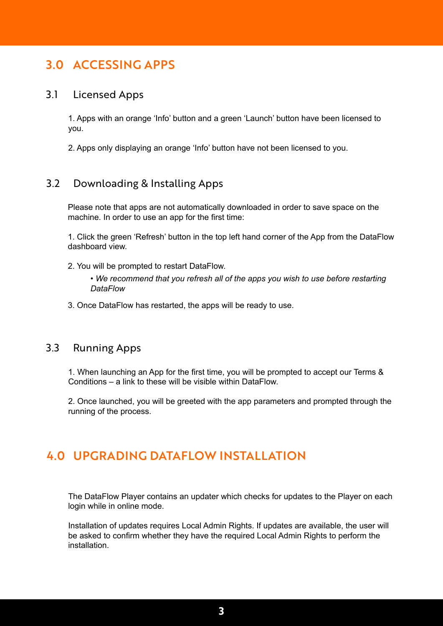# 3.0 ACCESSING APPS

#### 3.1 Licensed Apps

1. Apps with an orange 'Info' button and a green 'Launch' button have been licensed to you.

2. Apps only displaying an orange 'Info' button have not been licensed to you.

## 3.2 Downloading & Installing Apps

Please note that apps are not automatically downloaded in order to save space on the machine. In order to use an app for the first time:

1. Click the green 'Refresh' button in the top left hand corner of the App from the DataFlow dashboard view.

2. You will be prompted to restart DataFlow.

*• We recommend that you refresh all of the apps you wish to use before restarting DataFlow*

3. Once DataFlow has restarted, the apps will be ready to use.

#### 3.3 Running Apps

1. When launching an App for the first time, you will be prompted to accept our Terms & Conditions – a link to these will be visible within DataFlow.

2. Once launched, you will be greeted with the app parameters and prompted through the running of the process.

# 4.0 UPGRADING DATAFLOW INSTALLATION

The DataFlow Player contains an updater which checks for updates to the Player on each login while in online mode.

Installation of updates requires Local Admin Rights. If updates are available, the user will be asked to confirm whether they have the required Local Admin Rights to perform the installation.